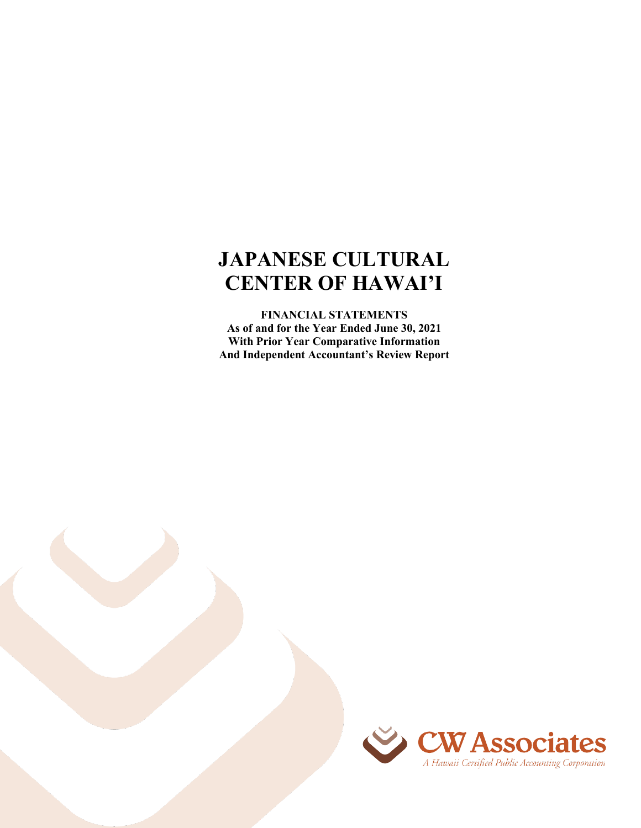**FINANCIAL STATEMENTS As of and for the Year Ended June 30, 2021 With Prior Year Comparative Information And Independent Accountant's Review Report**

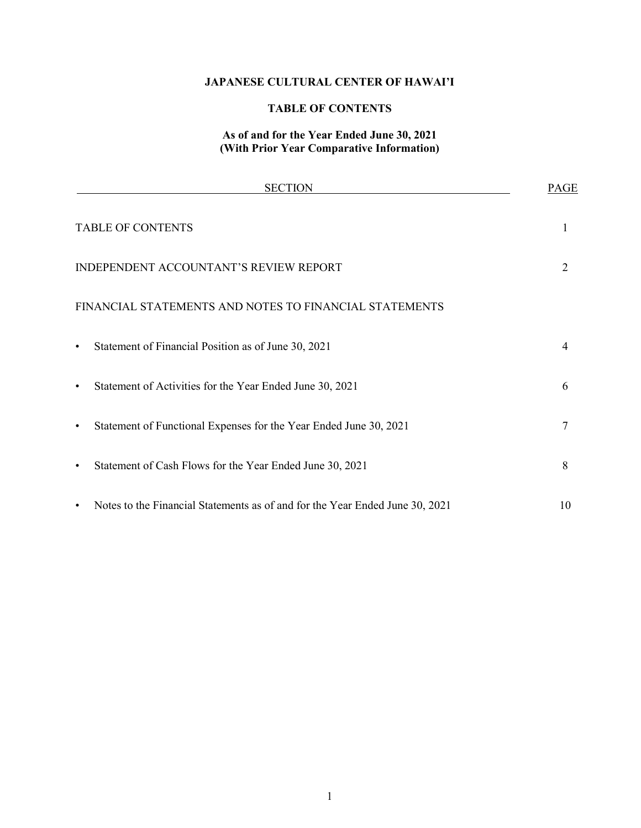# **TABLE OF CONTENTS**

# **As of and for the Year Ended June 30, 2021 (With Prior Year Comparative Information)**

| <b>SECTION</b>                                                                            | PAGE |
|-------------------------------------------------------------------------------------------|------|
| <b>TABLE OF CONTENTS</b>                                                                  | 1    |
| INDEPENDENT ACCOUNTANT'S REVIEW REPORT                                                    | 2    |
| FINANCIAL STATEMENTS AND NOTES TO FINANCIAL STATEMENTS                                    |      |
| Statement of Financial Position as of June 30, 2021<br>$\bullet$                          | 4    |
| Statement of Activities for the Year Ended June 30, 2021<br>$\bullet$                     | 6    |
| Statement of Functional Expenses for the Year Ended June 30, 2021<br>$\bullet$            | 7    |
| Statement of Cash Flows for the Year Ended June 30, 2021<br>$\bullet$                     | 8    |
| Notes to the Financial Statements as of and for the Year Ended June 30, 2021<br>$\bullet$ | 10   |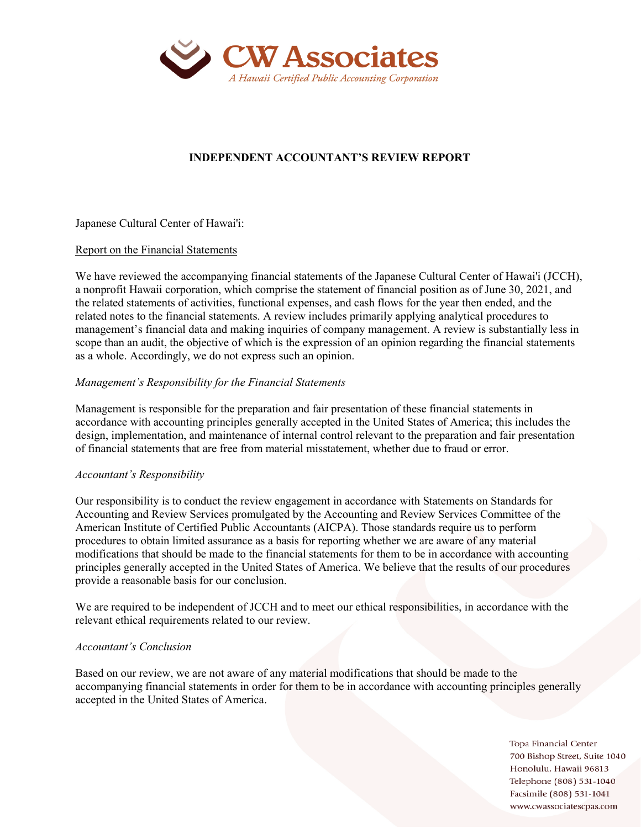

# **INDEPENDENT ACCOUNTANT'S REVIEW REPORT**

Japanese Cultural Center of Hawai'i:

#### Report on the Financial Statements

We have reviewed the accompanying financial statements of the Japanese Cultural Center of Hawai'i (JCCH), a nonprofit Hawaii corporation, which comprise the statement of financial position as of June 30, 2021, and the related statements of activities, functional expenses, and cash flows for the year then ended, and the related notes to the financial statements. A review includes primarily applying analytical procedures to management's financial data and making inquiries of company management. A review is substantially less in scope than an audit, the objective of which is the expression of an opinion regarding the financial statements as a whole. Accordingly, we do not express such an opinion.

# *Management's Responsibility for the Financial Statements*

Management is responsible for the preparation and fair presentation of these financial statements in accordance with accounting principles generally accepted in the United States of America; this includes the design, implementation, and maintenance of internal control relevant to the preparation and fair presentation of financial statements that are free from material misstatement, whether due to fraud or error.

#### *Accountant's Responsibility*

Our responsibility is to conduct the review engagement in accordance with Statements on Standards for Accounting and Review Services promulgated by the Accounting and Review Services Committee of the American Institute of Certified Public Accountants (AICPA). Those standards require us to perform procedures to obtain limited assurance as a basis for reporting whether we are aware of any material modifications that should be made to the financial statements for them to be in accordance with accounting principles generally accepted in the United States of America. We believe that the results of our procedures provide a reasonable basis for our conclusion.

We are required to be independent of JCCH and to meet our ethical responsibilities, in accordance with the relevant ethical requirements related to our review.

#### *Accountant's Conclusion*

Based on our review, we are not aware of any material modifications that should be made to the accompanying financial statements in order for them to be in accordance with accounting principles generally accepted in the United States of America.

> Topa Financial Center 700 Bishop Street, Suite 1040 Honolulu, Hawaii 96813 Telephone (808) 531-1040 Facsimile (808) 531-1041 www.cwassociatescpas.com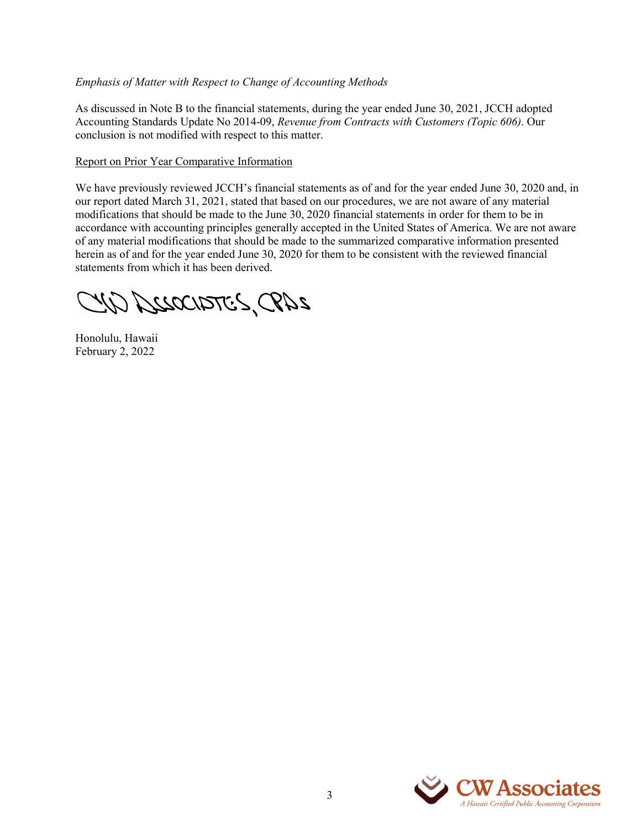# *Emphasis of Matter with Respect to Change of Accounting Methods*

As discussed in Note B to the financial statements, during the year ended June 30, 2021, JCCH adopted Accounting Standards Update No 2014-09, *Revenue from Contracts with Customers (Topic 606)*. Our conclusion is not modified with respect to this matter.

#### Report on Prior Year Comparative Information

We have previously reviewed JCCH's financial statements as of and for the year ended June 30, 2020 and, in our report dated March 31, 2021, stated that based on our procedures, we are not aware of any material modifications that should be made to the June 30, 2020 financial statements in order for them to be in accordance with accounting principles generally accepted in the United States of America. We are not aware of any material modifications that should be made to the summarized comparative information presented herein as of and for the year ended June 30, 2020 for them to be consistent with the reviewed financial statements from which it has been derived.

CID DESOCIATES, CRAS

Honolulu, Hawaii February 2, 2022

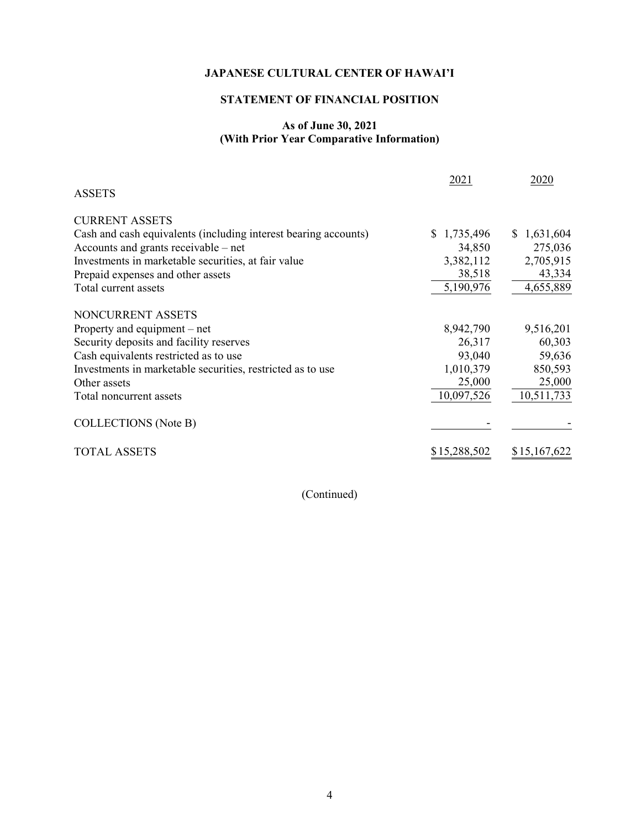# **STATEMENT OF FINANCIAL POSITION**

# **As of June 30, 2021 (With Prior Year Comparative Information)**

|                                                                 | 2021         | 2020         |
|-----------------------------------------------------------------|--------------|--------------|
| <b>ASSETS</b>                                                   |              |              |
| <b>CURRENT ASSETS</b>                                           |              |              |
| Cash and cash equivalents (including interest bearing accounts) | \$1,735,496  | \$1,631,604  |
| Accounts and grants receivable – net                            | 34,850       | 275,036      |
| Investments in marketable securities, at fair value             | 3,382,112    | 2,705,915    |
| Prepaid expenses and other assets                               | 38,518       | 43,334       |
| Total current assets                                            | 5,190,976    | 4,655,889    |
| NONCURRENT ASSETS                                               |              |              |
| Property and equipment – net                                    | 8,942,790    | 9,516,201    |
| Security deposits and facility reserves                         | 26,317       | 60,303       |
| Cash equivalents restricted as to use                           | 93,040       | 59,636       |
| Investments in marketable securities, restricted as to use      | 1,010,379    | 850,593      |
| Other assets                                                    | 25,000       | 25,000       |
| Total noncurrent assets                                         | 10,097,526   | 10,511,733   |
| <b>COLLECTIONS</b> (Note B)                                     |              |              |
| <b>TOTAL ASSETS</b>                                             | \$15,288,502 | \$15,167,622 |

(Continued)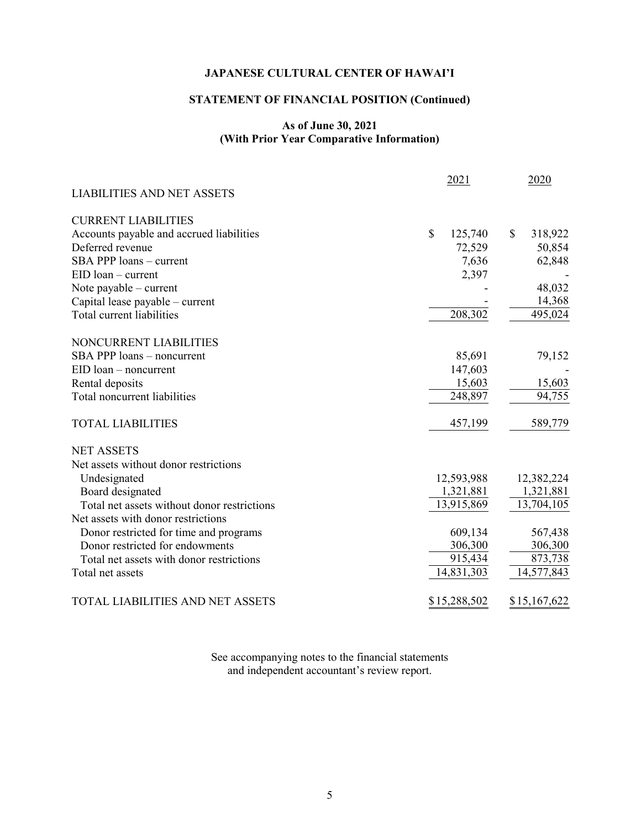# **STATEMENT OF FINANCIAL POSITION (Continued)**

# **As of June 30, 2021 (With Prior Year Comparative Information)**

|                                             | 2021          | 2020                     |
|---------------------------------------------|---------------|--------------------------|
| <b>LIABILITIES AND NET ASSETS</b>           |               |                          |
| <b>CURRENT LIABILITIES</b>                  |               |                          |
| Accounts payable and accrued liabilities    | \$<br>125,740 | $\mathcal{S}$<br>318,922 |
| Deferred revenue                            | 72,529        | 50,854                   |
| SBA PPP loans - current                     | 7,636         | 62,848                   |
| $EID$ loan – current                        | 2,397         |                          |
| Note payable $-$ current                    |               | 48,032                   |
| Capital lease payable - current             |               | 14,368                   |
| Total current liabilities                   | 208,302       | 495,024                  |
| NONCURRENT LIABILITIES                      |               |                          |
| SBA PPP loans - noncurrent                  | 85,691        | 79,152                   |
| $EID$ loan $-$ noncurrent                   | 147,603       |                          |
| Rental deposits                             | 15,603        | 15,603                   |
| Total noncurrent liabilities                | 248,897       | 94,755                   |
| <b>TOTAL LIABILITIES</b>                    | 457,199       | 589,779                  |
| <b>NET ASSETS</b>                           |               |                          |
| Net assets without donor restrictions       |               |                          |
| Undesignated                                | 12,593,988    | 12,382,224               |
| Board designated                            | 1,321,881     | 1,321,881                |
| Total net assets without donor restrictions | 13,915,869    | 13,704,105               |
| Net assets with donor restrictions          |               |                          |
| Donor restricted for time and programs      | 609,134       | 567,438                  |
| Donor restricted for endowments             | 306,300       | 306,300                  |
| Total net assets with donor restrictions    | 915,434       | 873,738                  |
| Total net assets                            | 14,831,303    | 14,577,843               |
| TOTAL LIABILITIES AND NET ASSETS            | \$15,288,502  | \$15,167,622             |

See accompanying notes to the financial statements and independent accountant's review report.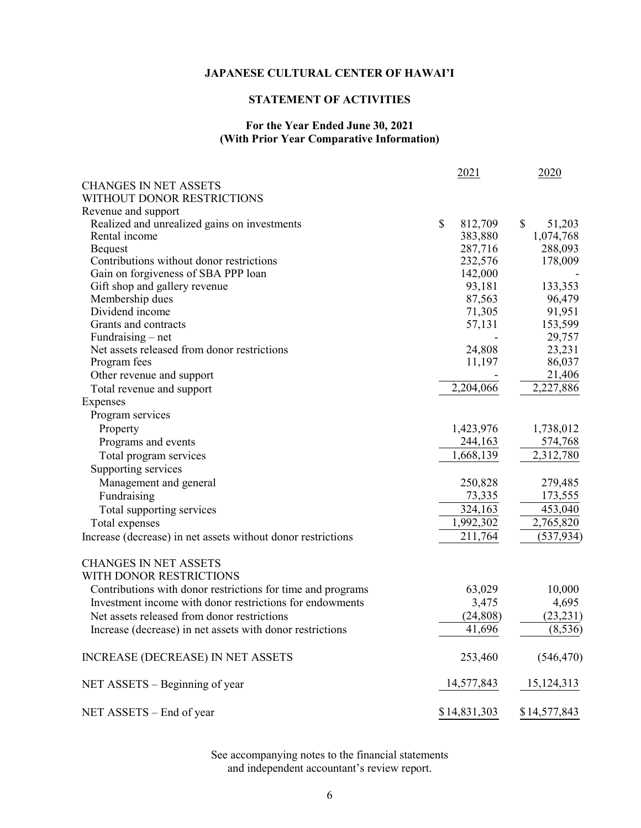# **STATEMENT OF ACTIVITIES**

#### **For the Year Ended June 30, 2021 (With Prior Year Comparative Information)**

|                                                              | 2021          | 2020         |
|--------------------------------------------------------------|---------------|--------------|
| <b>CHANGES IN NET ASSETS</b>                                 |               |              |
| WITHOUT DONOR RESTRICTIONS                                   |               |              |
| Revenue and support                                          |               |              |
| Realized and unrealized gains on investments                 | \$<br>812,709 | \$<br>51,203 |
| Rental income                                                | 383,880       | 1,074,768    |
| <b>Bequest</b>                                               | 287,716       | 288,093      |
| Contributions without donor restrictions                     | 232,576       | 178,009      |
| Gain on forgiveness of SBA PPP loan                          | 142,000       |              |
| Gift shop and gallery revenue                                | 93,181        | 133,353      |
| Membership dues                                              | 87,563        | 96,479       |
| Dividend income                                              | 71,305        | 91,951       |
| Grants and contracts                                         | 57,131        | 153,599      |
| Fundraising – net                                            |               | 29,757       |
| Net assets released from donor restrictions                  | 24,808        | 23,231       |
| Program fees                                                 | 11,197        | 86,037       |
| Other revenue and support                                    |               | 21,406       |
| Total revenue and support                                    | 2,204,066     | 2,227,886    |
| Expenses                                                     |               |              |
| Program services                                             |               |              |
| Property                                                     | 1,423,976     | 1,738,012    |
| Programs and events                                          | 244,163       | 574,768      |
| Total program services                                       | 1,668,139     | 2,312,780    |
| Supporting services                                          |               |              |
| Management and general                                       | 250,828       | 279,485      |
| Fundraising                                                  | 73,335        | 173,555      |
| Total supporting services                                    | 324,163       | 453,040      |
| Total expenses                                               | 1,992,302     | 2,765,820    |
|                                                              | 211,764       | (537, 934)   |
| Increase (decrease) in net assets without donor restrictions |               |              |
| <b>CHANGES IN NET ASSETS</b>                                 |               |              |
| WITH DONOR RESTRICTIONS                                      |               |              |
| Contributions with donor restrictions for time and programs  | 63,029        | 10,000       |
| Investment income with donor restrictions for endowments     | 3,475         | 4,695        |
| Net assets released from donor restrictions                  | (24,808)      | (23, 231)    |
| Increase (decrease) in net assets with donor restrictions    | 41,696        | (8,536)      |
| INCREASE (DECREASE) IN NET ASSETS                            | 253,460       | (546, 470)   |
| NET ASSETS – Beginning of year                               | 14,577,843    | 15, 124, 313 |
| NET ASSETS - End of year                                     | \$14,831,303  | \$14,577,843 |

See accompanying notes to the financial statements and independent accountant's review report.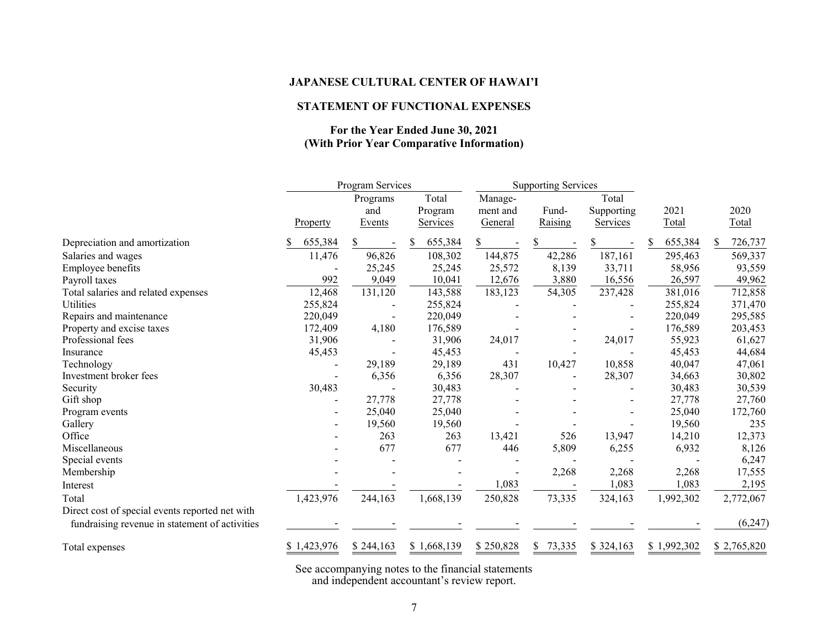# **STATEMENT OF FUNCTIONAL EXPENSES**

# **For the Year Ended June 30, 2021 (With Prior Year Comparative Information)**

|                                                 |             | Program Services |                  | <b>Supporting Services</b> |              |                     |                          |                         |
|-------------------------------------------------|-------------|------------------|------------------|----------------------------|--------------|---------------------|--------------------------|-------------------------|
|                                                 |             | Programs<br>and  | Total<br>Program | Manage-<br>ment and        | Fund-        | Total<br>Supporting | 2021                     | 2020                    |
|                                                 | Property    | Events           | Services         | General                    | Raising      | Services            | Total                    | <b>Total</b>            |
| Depreciation and amortization                   | 655,384     | S                | 655,384<br>\$    | S                          |              |                     | 655,384<br><sup>\$</sup> | 726,737<br><sup>S</sup> |
| Salaries and wages                              | 11,476      | 96,826           | 108,302          | 144,875                    | 42,286       | 187,161             | 295,463                  | 569,337                 |
| Employee benefits                               |             | 25,245           | 25,245           | 25,572                     | 8,139        | 33,711              | 58,956                   | 93,559                  |
| Payroll taxes                                   | 992         | 9,049            | 10,041           | 12,676                     | 3,880        | 16,556              | 26,597                   | 49,962                  |
| Total salaries and related expenses             | 12,468      | 131,120          | 143,588          | 183,123                    | 54,305       | 237,428             | 381,016                  | 712,858                 |
| Utilities                                       | 255,824     |                  | 255,824          |                            |              |                     | 255,824                  | 371,470                 |
| Repairs and maintenance                         | 220,049     |                  | 220,049          |                            |              |                     | 220,049                  | 295,585                 |
| Property and excise taxes                       | 172,409     | 4,180            | 176,589          |                            |              |                     | 176,589                  | 203,453                 |
| Professional fees                               | 31,906      |                  | 31,906           | 24,017                     |              | 24,017              | 55,923                   | 61,627                  |
| Insurance                                       | 45,453      |                  | 45,453           |                            |              |                     | 45,453                   | 44,684                  |
| Technology                                      |             | 29,189           | 29,189           | 431                        | 10,427       | 10,858              | 40,047                   | 47,061                  |
| Investment broker fees                          |             | 6,356            | 6,356            | 28,307                     |              | 28,307              | 34,663                   | 30,802                  |
| Security                                        | 30,483      |                  | 30,483           |                            |              |                     | 30,483                   | 30,539                  |
| Gift shop                                       |             | 27,778           | 27,778           |                            |              |                     | 27,778                   | 27,760                  |
| Program events                                  |             | 25,040           | 25,040           |                            |              |                     | 25,040                   | 172,760                 |
| Gallery                                         |             | 19,560           | 19,560           |                            |              |                     | 19,560                   | 235                     |
| Office                                          |             | 263              | 263              | 13,421                     | 526          | 13,947              | 14,210                   | 12,373                  |
| Miscellaneous                                   |             | 677              | 677              | 446                        | 5,809        | 6,255               | 6,932                    | 8,126                   |
| Special events                                  |             |                  |                  |                            |              |                     |                          | 6,247                   |
| Membership                                      |             |                  |                  |                            | 2,268        | 2,268               | 2,268                    | 17,555                  |
| Interest                                        |             |                  |                  | 1,083                      |              | 1,083               | 1,083                    | 2,195                   |
| Total                                           | 1,423,976   | 244,163          | 1,668,139        | 250,828                    | 73,335       | 324,163             | 1,992,302                | 2,772,067               |
| Direct cost of special events reported net with |             |                  |                  |                            |              |                     |                          |                         |
| fundraising revenue in statement of activities  |             |                  |                  |                            |              |                     |                          | (6,247)                 |
| Total expenses                                  | \$1,423,976 | \$244,163        | \$1,668,139      | \$250,828                  | 73,335<br>\$ | \$324,163           | \$1,992,302              | \$2,765,820             |

See accompanying notes to the financial statements and independent accountant's review report.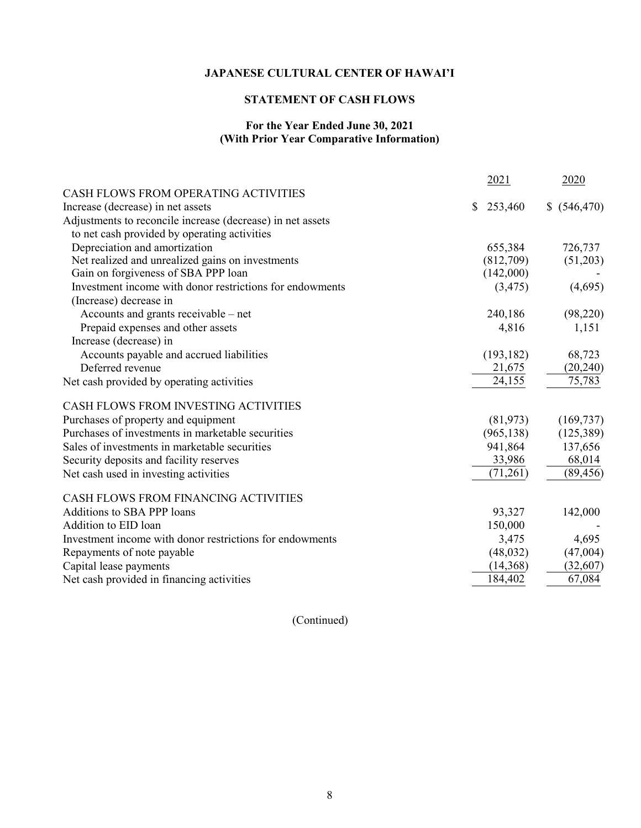# **STATEMENT OF CASH FLOWS**

#### **For the Year Ended June 30, 2021 (With Prior Year Comparative Information)**

|                                                            | 2021         | 2020          |
|------------------------------------------------------------|--------------|---------------|
| CASH FLOWS FROM OPERATING ACTIVITIES                       |              |               |
| Increase (decrease) in net assets                          | S<br>253,460 | \$ (546, 470) |
| Adjustments to reconcile increase (decrease) in net assets |              |               |
| to net cash provided by operating activities               |              |               |
| Depreciation and amortization                              | 655,384      | 726,737       |
| Net realized and unrealized gains on investments           | (812,709)    | (51,203)      |
| Gain on forgiveness of SBA PPP loan                        | (142,000)    |               |
| Investment income with donor restrictions for endowments   | (3, 475)     | (4,695)       |
| (Increase) decrease in                                     |              |               |
| Accounts and grants receivable - net                       | 240,186      | (98, 220)     |
| Prepaid expenses and other assets                          | 4,816        | 1,151         |
| Increase (decrease) in                                     |              |               |
| Accounts payable and accrued liabilities                   | (193, 182)   | 68,723        |
| Deferred revenue                                           | 21,675       | (20, 240)     |
| Net cash provided by operating activities                  | 24,155       | 75,783        |
| CASH FLOWS FROM INVESTING ACTIVITIES                       |              |               |
| Purchases of property and equipment                        | (81, 973)    | (169, 737)    |
| Purchases of investments in marketable securities          | (965, 138)   | (125, 389)    |
| Sales of investments in marketable securities              | 941,864      | 137,656       |
| Security deposits and facility reserves                    | 33,986       | 68,014        |
| Net cash used in investing activities                      | (71,261)     | (89, 456)     |
| CASH FLOWS FROM FINANCING ACTIVITIES                       |              |               |
| Additions to SBA PPP loans                                 | 93,327       | 142,000       |
| Addition to EID loan                                       | 150,000      |               |
| Investment income with donor restrictions for endowments   | 3,475        | 4,695         |
| Repayments of note payable                                 | (48, 032)    | (47,004)      |
| Capital lease payments                                     | (14,368)     | (32,607)      |
| Net cash provided in financing activities                  | 184,402      | 67,084        |

(Continued)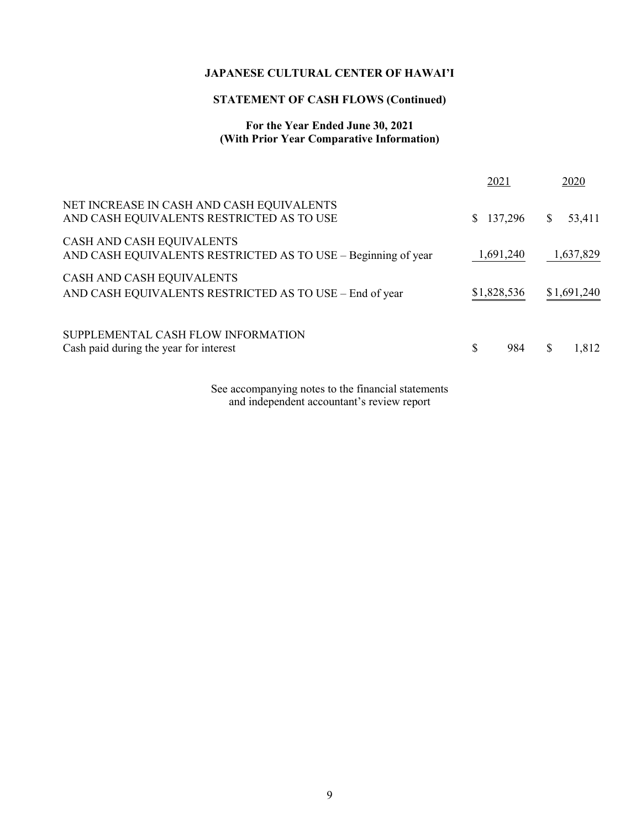# **STATEMENT OF CASH FLOWS (Continued)**

#### **For the Year Ended June 30, 2021 (With Prior Year Comparative Information)**

|                                                                                            | 2021        |   | 2020        |
|--------------------------------------------------------------------------------------------|-------------|---|-------------|
| NET INCREASE IN CASH AND CASH EQUIVALENTS<br>AND CASH EQUIVALENTS RESTRICTED AS TO USE     | 137,296     | S | 53,411      |
| CASH AND CASH EQUIVALENTS<br>AND CASH EQUIVALENTS RESTRICTED AS TO USE – Beginning of year | 1,691,240   |   | 1,637,829   |
| CASH AND CASH EQUIVALENTS<br>AND CASH EQUIVALENTS RESTRICTED AS TO USE - End of year       | \$1,828,536 |   | \$1,691,240 |
| SUPPLEMENTAL CASH FLOW INFORMATION<br>Cash paid during the year for interest               | 984         | S | 1,812       |

See accompanying notes to the financial statements and independent accountant's review report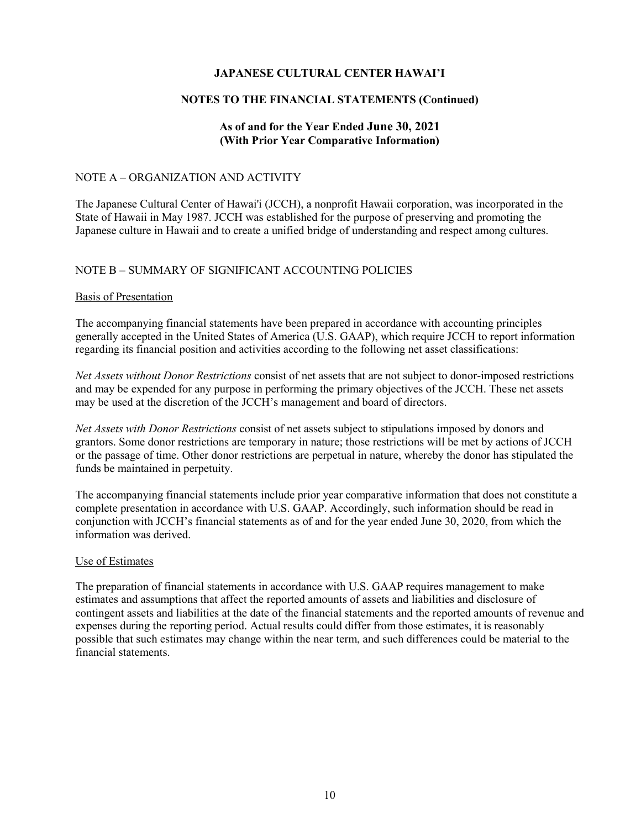#### **NOTES TO THE FINANCIAL STATEMENTS (Continued)**

# **As of and for the Year Ended June 30, 2021 (With Prior Year Comparative Information)**

#### NOTE A – ORGANIZATION AND ACTIVITY

The Japanese Cultural Center of Hawai'i (JCCH), a nonprofit Hawaii corporation, was incorporated in the State of Hawaii in May 1987. JCCH was established for the purpose of preserving and promoting the Japanese culture in Hawaii and to create a unified bridge of understanding and respect among cultures.

#### NOTE B – SUMMARY OF SIGNIFICANT ACCOUNTING POLICIES

#### Basis of Presentation

The accompanying financial statements have been prepared in accordance with accounting principles generally accepted in the United States of America (U.S. GAAP), which require JCCH to report information regarding its financial position and activities according to the following net asset classifications:

*Net Assets without Donor Restrictions* consist of net assets that are not subject to donor-imposed restrictions and may be expended for any purpose in performing the primary objectives of the JCCH. These net assets may be used at the discretion of the JCCH's management and board of directors.

*Net Assets with Donor Restrictions* consist of net assets subject to stipulations imposed by donors and grantors. Some donor restrictions are temporary in nature; those restrictions will be met by actions of JCCH or the passage of time. Other donor restrictions are perpetual in nature, whereby the donor has stipulated the funds be maintained in perpetuity.

The accompanying financial statements include prior year comparative information that does not constitute a complete presentation in accordance with U.S. GAAP. Accordingly, such information should be read in conjunction with JCCH's financial statements as of and for the year ended June 30, 2020, from which the information was derived.

#### Use of Estimates

The preparation of financial statements in accordance with U.S. GAAP requires management to make estimates and assumptions that affect the reported amounts of assets and liabilities and disclosure of contingent assets and liabilities at the date of the financial statements and the reported amounts of revenue and expenses during the reporting period. Actual results could differ from those estimates, it is reasonably possible that such estimates may change within the near term, and such differences could be material to the financial statements.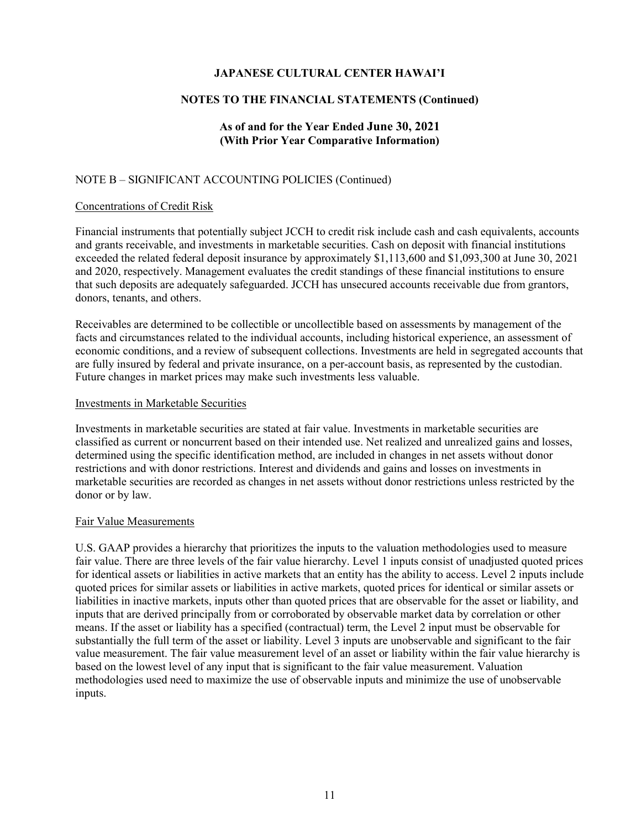# **NOTES TO THE FINANCIAL STATEMENTS (Continued)**

# **As of and for the Year Ended June 30, 2021 (With Prior Year Comparative Information)**

#### NOTE B – SIGNIFICANT ACCOUNTING POLICIES (Continued)

#### Concentrations of Credit Risk

Financial instruments that potentially subject JCCH to credit risk include cash and cash equivalents, accounts and grants receivable, and investments in marketable securities. Cash on deposit with financial institutions exceeded the related federal deposit insurance by approximately \$1,113,600 and \$1,093,300 at June 30, 2021 and 2020, respectively. Management evaluates the credit standings of these financial institutions to ensure that such deposits are adequately safeguarded. JCCH has unsecured accounts receivable due from grantors, donors, tenants, and others.

Receivables are determined to be collectible or uncollectible based on assessments by management of the facts and circumstances related to the individual accounts, including historical experience, an assessment of economic conditions, and a review of subsequent collections. Investments are held in segregated accounts that are fully insured by federal and private insurance, on a per-account basis, as represented by the custodian. Future changes in market prices may make such investments less valuable.

#### Investments in Marketable Securities

Investments in marketable securities are stated at fair value. Investments in marketable securities are classified as current or noncurrent based on their intended use. Net realized and unrealized gains and losses, determined using the specific identification method, are included in changes in net assets without donor restrictions and with donor restrictions. Interest and dividends and gains and losses on investments in marketable securities are recorded as changes in net assets without donor restrictions unless restricted by the donor or by law.

#### Fair Value Measurements

U.S. GAAP provides a hierarchy that prioritizes the inputs to the valuation methodologies used to measure fair value. There are three levels of the fair value hierarchy. Level 1 inputs consist of unadjusted quoted prices for identical assets or liabilities in active markets that an entity has the ability to access. Level 2 inputs include quoted prices for similar assets or liabilities in active markets, quoted prices for identical or similar assets or liabilities in inactive markets, inputs other than quoted prices that are observable for the asset or liability, and inputs that are derived principally from or corroborated by observable market data by correlation or other means. If the asset or liability has a specified (contractual) term, the Level 2 input must be observable for substantially the full term of the asset or liability. Level 3 inputs are unobservable and significant to the fair value measurement. The fair value measurement level of an asset or liability within the fair value hierarchy is based on the lowest level of any input that is significant to the fair value measurement. Valuation methodologies used need to maximize the use of observable inputs and minimize the use of unobservable inputs.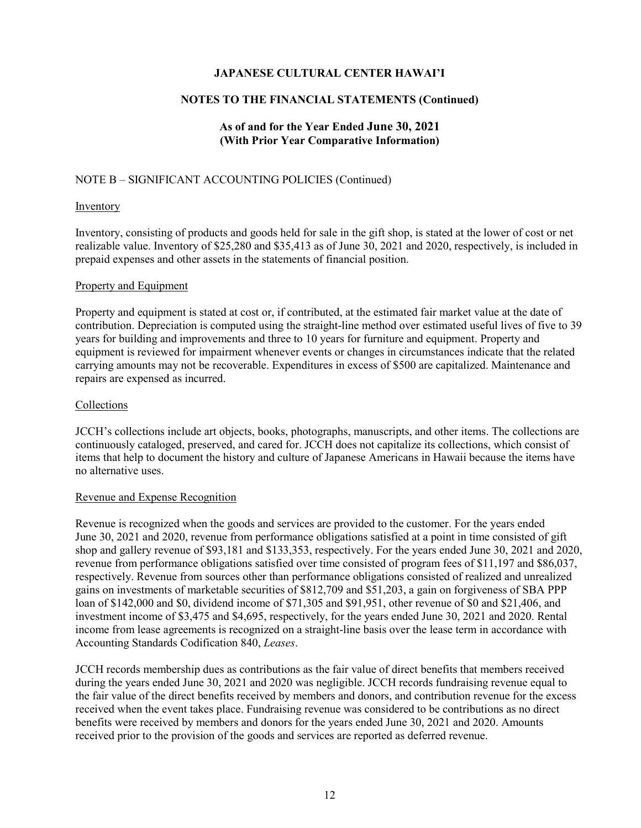#### **NOTES TO THE FINANCIAL STATEMENTS (Continued)**

# **As of and for the Year Ended June 30, 2021 (With Prior Year Comparative Information)**

# NOTE B – SIGNIFICANT ACCOUNTING POLICIES (Continued)

#### **Inventory**

Inventory, consisting of products and goods held for sale in the gift shop, is stated at the lower of cost or net realizable value. Inventory of \$25,280 and \$35,413 as of June 30, 2021 and 2020, respectively, is included in prepaid expenses and other assets in the statements of financial position.

#### Property and Equipment

Property and equipment is stated at cost or, if contributed, at the estimated fair market value at the date of contribution. Depreciation is computed using the straight-line method over estimated useful lives of five to 39 years for building and improvements and three to 10 years for furniture and equipment. Property and equipment is reviewed for impairment whenever events or changes in circumstances indicate that the related carrying amounts may not be recoverable. Expenditures in excess of \$500 are capitalized. Maintenance and repairs are expensed as incurred.

#### Collections

JCCH's collections include art objects, books, photographs, manuscripts, and other items. The collections are continuously cataloged, preserved, and cared for. JCCH does not capitalize its collections, which consist of items that help to document the history and culture of Japanese Americans in Hawaii because the items have no alternative uses.

#### Revenue and Expense Recognition

Revenue is recognized when the goods and services are provided to the customer. For the years ended June 30, 2021 and 2020, revenue from performance obligations satisfied at a point in time consisted of gift shop and gallery revenue of \$93,181 and \$133,353, respectively. For the years ended June 30, 2021 and 2020, revenue from performance obligations satisfied over time consisted of program fees of \$11,197 and \$86,037, respectively. Revenue from sources other than performance obligations consisted of realized and unrealized gains on investments of marketable securities of \$812,709 and \$51,203, a gain on forgiveness of SBA PPP loan of \$142,000 and \$0, dividend income of \$71,305 and \$91,951, other revenue of \$0 and \$21,406, and investment income of \$3,475 and \$4,695, respectively, for the years ended June 30, 2021 and 2020. Rental income from lease agreements is recognized on a straight-line basis over the lease term in accordance with Accounting Standards Codification 840, *Leases*.

JCCH records membership dues as contributions as the fair value of direct benefits that members received during the years ended June 30, 2021 and 2020 was negligible. JCCH records fundraising revenue equal to the fair value of the direct benefits received by members and donors, and contribution revenue for the excess received when the event takes place. Fundraising revenue was considered to be contributions as no direct benefits were received by members and donors for the years ended June 30, 2021 and 2020. Amounts received prior to the provision of the goods and services are reported as deferred revenue.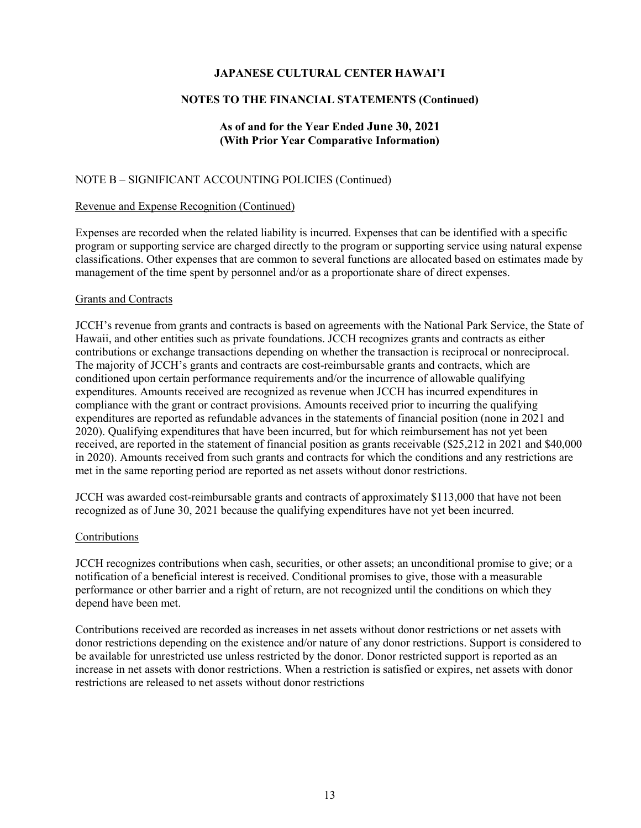# **NOTES TO THE FINANCIAL STATEMENTS (Continued)**

# **As of and for the Year Ended June 30, 2021 (With Prior Year Comparative Information)**

#### NOTE B – SIGNIFICANT ACCOUNTING POLICIES (Continued)

#### Revenue and Expense Recognition (Continued)

Expenses are recorded when the related liability is incurred. Expenses that can be identified with a specific program or supporting service are charged directly to the program or supporting service using natural expense classifications. Other expenses that are common to several functions are allocated based on estimates made by management of the time spent by personnel and/or as a proportionate share of direct expenses.

#### Grants and Contracts

JCCH's revenue from grants and contracts is based on agreements with the National Park Service, the State of Hawaii, and other entities such as private foundations. JCCH recognizes grants and contracts as either contributions or exchange transactions depending on whether the transaction is reciprocal or nonreciprocal. The majority of JCCH's grants and contracts are cost-reimbursable grants and contracts, which are conditioned upon certain performance requirements and/or the incurrence of allowable qualifying expenditures. Amounts received are recognized as revenue when JCCH has incurred expenditures in compliance with the grant or contract provisions. Amounts received prior to incurring the qualifying expenditures are reported as refundable advances in the statements of financial position (none in 2021 and 2020). Qualifying expenditures that have been incurred, but for which reimbursement has not yet been received, are reported in the statement of financial position as grants receivable (\$25,212 in 2021 and \$40,000 in 2020). Amounts received from such grants and contracts for which the conditions and any restrictions are met in the same reporting period are reported as net assets without donor restrictions.

JCCH was awarded cost-reimbursable grants and contracts of approximately \$113,000 that have not been recognized as of June 30, 2021 because the qualifying expenditures have not yet been incurred.

#### Contributions

JCCH recognizes contributions when cash, securities, or other assets; an unconditional promise to give; or a notification of a beneficial interest is received. Conditional promises to give, those with a measurable performance or other barrier and a right of return, are not recognized until the conditions on which they depend have been met.

Contributions received are recorded as increases in net assets without donor restrictions or net assets with donor restrictions depending on the existence and/or nature of any donor restrictions. Support is considered to be available for unrestricted use unless restricted by the donor. Donor restricted support is reported as an increase in net assets with donor restrictions. When a restriction is satisfied or expires, net assets with donor restrictions are released to net assets without donor restrictions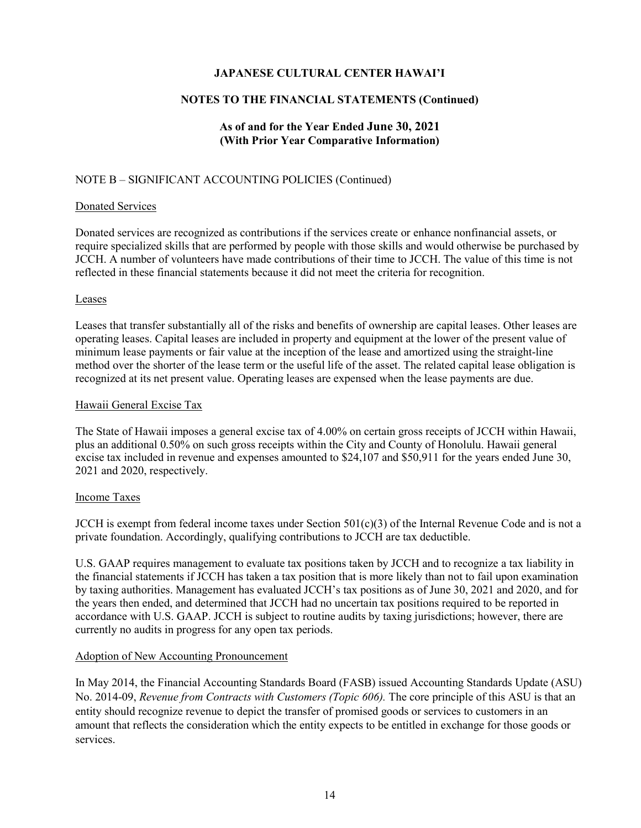# **NOTES TO THE FINANCIAL STATEMENTS (Continued)**

# **As of and for the Year Ended June 30, 2021 (With Prior Year Comparative Information)**

#### NOTE B – SIGNIFICANT ACCOUNTING POLICIES (Continued)

#### Donated Services

Donated services are recognized as contributions if the services create or enhance nonfinancial assets, or require specialized skills that are performed by people with those skills and would otherwise be purchased by JCCH. A number of volunteers have made contributions of their time to JCCH. The value of this time is not reflected in these financial statements because it did not meet the criteria for recognition.

#### Leases

Leases that transfer substantially all of the risks and benefits of ownership are capital leases. Other leases are operating leases. Capital leases are included in property and equipment at the lower of the present value of minimum lease payments or fair value at the inception of the lease and amortized using the straight-line method over the shorter of the lease term or the useful life of the asset. The related capital lease obligation is recognized at its net present value. Operating leases are expensed when the lease payments are due.

#### Hawaii General Excise Tax

The State of Hawaii imposes a general excise tax of 4.00% on certain gross receipts of JCCH within Hawaii, plus an additional 0.50% on such gross receipts within the City and County of Honolulu. Hawaii general excise tax included in revenue and expenses amounted to \$24,107 and \$50,911 for the years ended June 30, 2021 and 2020, respectively.

#### Income Taxes

JCCH is exempt from federal income taxes under Section 501(c)(3) of the Internal Revenue Code and is not a private foundation. Accordingly, qualifying contributions to JCCH are tax deductible.

U.S. GAAP requires management to evaluate tax positions taken by JCCH and to recognize a tax liability in the financial statements if JCCH has taken a tax position that is more likely than not to fail upon examination by taxing authorities. Management has evaluated JCCH's tax positions as of June 30, 2021 and 2020, and for the years then ended, and determined that JCCH had no uncertain tax positions required to be reported in accordance with U.S. GAAP. JCCH is subject to routine audits by taxing jurisdictions; however, there are currently no audits in progress for any open tax periods.

#### Adoption of New Accounting Pronouncement

In May 2014, the Financial Accounting Standards Board (FASB) issued Accounting Standards Update (ASU) No. 2014-09, *Revenue from Contracts with Customers (Topic 606).* The core principle of this ASU is that an entity should recognize revenue to depict the transfer of promised goods or services to customers in an amount that reflects the consideration which the entity expects to be entitled in exchange for those goods or services.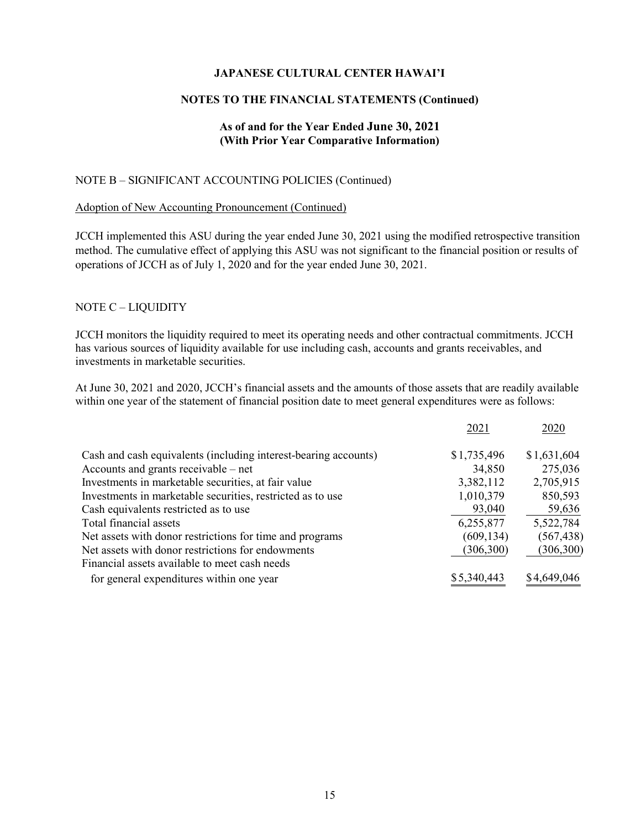# **NOTES TO THE FINANCIAL STATEMENTS (Continued)**

# **As of and for the Year Ended June 30, 2021 (With Prior Year Comparative Information)**

#### NOTE B – SIGNIFICANT ACCOUNTING POLICIES (Continued)

#### Adoption of New Accounting Pronouncement (Continued)

JCCH implemented this ASU during the year ended June 30, 2021 using the modified retrospective transition method. The cumulative effect of applying this ASU was not significant to the financial position or results of operations of JCCH as of July 1, 2020 and for the year ended June 30, 2021.

# NOTE C – LIQUIDITY

JCCH monitors the liquidity required to meet its operating needs and other contractual commitments. JCCH has various sources of liquidity available for use including cash, accounts and grants receivables, and investments in marketable securities.

At June 30, 2021 and 2020, JCCH's financial assets and the amounts of those assets that are readily available within one year of the statement of financial position date to meet general expenditures were as follows:

|                                                                 | 2021        | 2020        |
|-----------------------------------------------------------------|-------------|-------------|
| Cash and cash equivalents (including interest-bearing accounts) | \$1,735,496 | \$1,631,604 |
| Accounts and grants receivable – net                            | 34,850      | 275,036     |
| Investments in marketable securities, at fair value             | 3,382,112   | 2,705,915   |
| Investments in marketable securities, restricted as to use      | 1,010,379   | 850,593     |
| Cash equivalents restricted as to use                           | 93,040      | 59,636      |
| Total financial assets                                          | 6,255,877   | 5,522,784   |
| Net assets with donor restrictions for time and programs        | (609, 134)  | (567, 438)  |
| Net assets with donor restrictions for endowments               | (306, 300)  | (306, 300)  |
| Financial assets available to meet cash needs                   |             |             |
| for general expenditures within one year                        | \$5,340,443 | \$4,649,046 |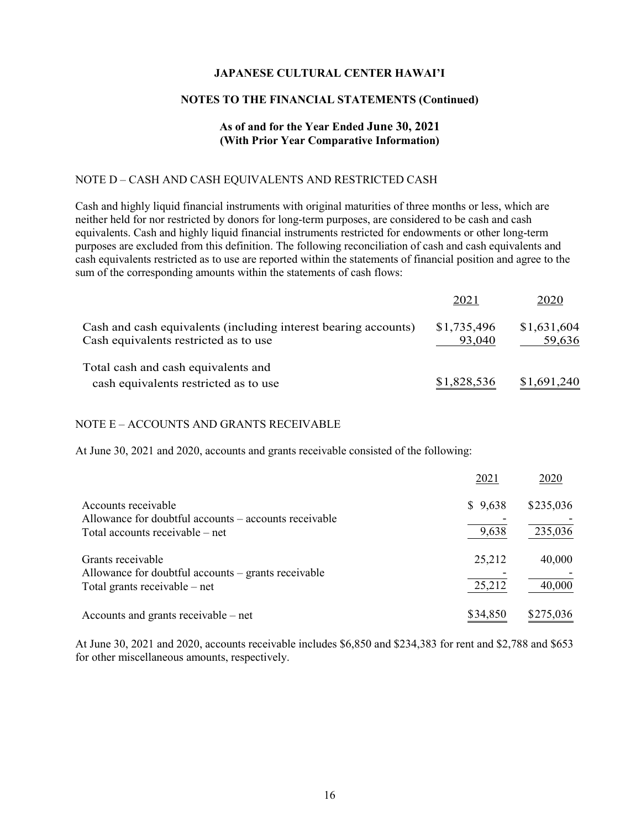#### **NOTES TO THE FINANCIAL STATEMENTS (Continued)**

# **As of and for the Year Ended June 30, 2021 (With Prior Year Comparative Information)**

#### NOTE D – CASH AND CASH EQUIVALENTS AND RESTRICTED CASH

Cash and highly liquid financial instruments with original maturities of three months or less, which are neither held for nor restricted by donors for long-term purposes, are considered to be cash and cash equivalents. Cash and highly liquid financial instruments restricted for endowments or other long-term purposes are excluded from this definition. The following reconciliation of cash and cash equivalents and cash equivalents restricted as to use are reported within the statements of financial position and agree to the sum of the corresponding amounts within the statements of cash flows:

|                                                                                                          | 2021                  | 2020                  |
|----------------------------------------------------------------------------------------------------------|-----------------------|-----------------------|
| Cash and cash equivalents (including interest bearing accounts)<br>Cash equivalents restricted as to use | \$1,735,496<br>93,040 | \$1,631,604<br>59,636 |
| Total cash and cash equivalents and<br>cash equivalents restricted as to use                             | \$1,828,536           | \$1,691,240           |

#### NOTE E – ACCOUNTS AND GRANTS RECEIVABLE

At June 30, 2021 and 2020, accounts and grants receivable consisted of the following:

|                                                       | 2021     | 2020      |
|-------------------------------------------------------|----------|-----------|
| Accounts receivable                                   | \$9,638  | \$235,036 |
| Allowance for doubtful accounts – accounts receivable |          |           |
| Total accounts receivable – net                       | 9,638    | 235,036   |
| Grants receivable                                     | 25,212   | 40,000    |
| Allowance for doubtful accounts $-$ grants receivable |          |           |
| Total grants receivable $-$ net                       | 25,212   | 40,000    |
| Accounts and grants receivable – net                  | \$34,850 | \$275,036 |

At June 30, 2021 and 2020, accounts receivable includes \$6,850 and \$234,383 for rent and \$2,788 and \$653 for other miscellaneous amounts, respectively.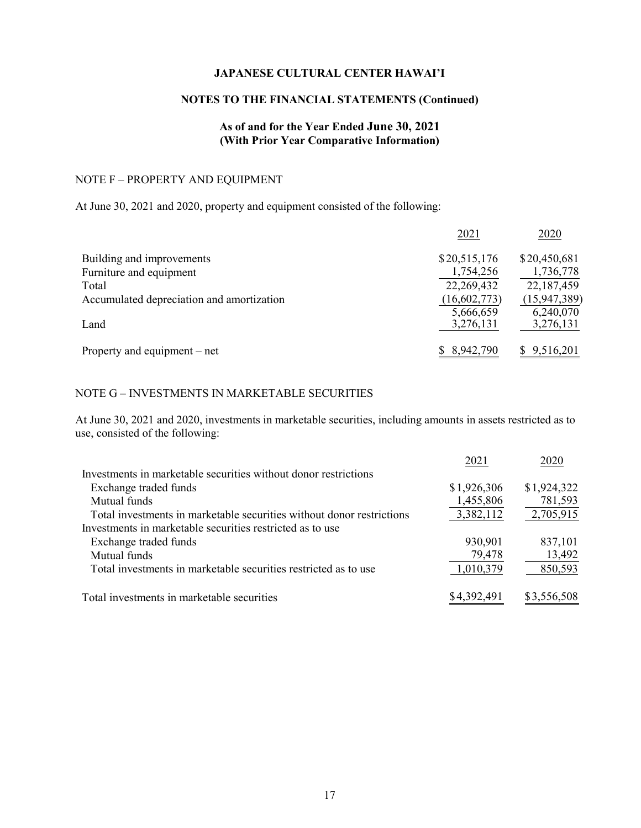# **NOTES TO THE FINANCIAL STATEMENTS (Continued)**

# **As of and for the Year Ended June 30, 2021 (With Prior Year Comparative Information)**

#### NOTE F – PROPERTY AND EQUIPMENT

At June 30, 2021 and 2020, property and equipment consisted of the following:

|                                           | 2021         | 2020         |
|-------------------------------------------|--------------|--------------|
| Building and improvements                 | \$20,515,176 | \$20,450,681 |
| Furniture and equipment                   | 1,754,256    | 1,736,778    |
| Total                                     | 22,269,432   | 22,187,459   |
| Accumulated depreciation and amortization | (16,602,773) | (15,947,389) |
|                                           | 5,666,659    | 6,240,070    |
| Land                                      | 3,276,131    | 3,276,131    |
| Property and equipment $-$ net            | \$8,942,790  | \$9,516,201  |

# NOTE G – INVESTMENTS IN MARKETABLE SECURITIES

At June 30, 2021 and 2020, investments in marketable securities, including amounts in assets restricted as to use, consisted of the following:

|                                                                       | 2021        | 2020        |
|-----------------------------------------------------------------------|-------------|-------------|
| Investments in marketable securities without donor restrictions       |             |             |
| Exchange traded funds                                                 | \$1,926,306 | \$1,924,322 |
| Mutual funds                                                          | 1,455,806   | 781,593     |
| Total investments in marketable securities without donor restrictions | 3,382,112   | 2,705,915   |
| Investments in marketable securities restricted as to use             |             |             |
| Exchange traded funds                                                 | 930,901     | 837,101     |
| Mutual funds                                                          | 79,478      | 13,492      |
| Total investments in marketable securities restricted as to use       | 1,010,379   | 850,593     |
| Total investments in marketable securities                            | \$4,392,491 | \$3,556,508 |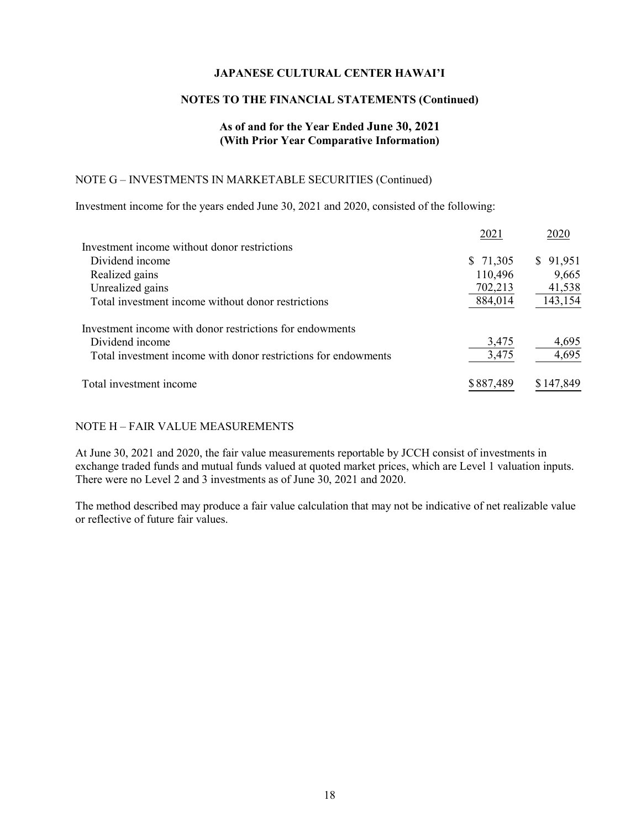#### **NOTES TO THE FINANCIAL STATEMENTS (Continued)**

# **As of and for the Year Ended June 30, 2021 (With Prior Year Comparative Information)**

#### NOTE G – INVESTMENTS IN MARKETABLE SECURITIES (Continued)

Investment income for the years ended June 30, 2021 and 2020, consisted of the following:

|                                                                | 2021      | 2020      |
|----------------------------------------------------------------|-----------|-----------|
| Investment income without donor restrictions                   |           |           |
| Dividend income                                                | \$71,305  | \$91,951  |
| Realized gains                                                 | 110,496   | 9,665     |
| Unrealized gains                                               | 702,213   | 41,538    |
| Total investment income without donor restrictions             | 884,014   | 143,154   |
| Investment income with donor restrictions for endowments       |           |           |
| Dividend income                                                | 3,475     | 4,695     |
| Total investment income with donor restrictions for endowments | 3,475     | 4,695     |
| Total investment income                                        | \$887,489 | \$147,849 |

# NOTE H – FAIR VALUE MEASUREMENTS

At June 30, 2021 and 2020, the fair value measurements reportable by JCCH consist of investments in exchange traded funds and mutual funds valued at quoted market prices, which are Level 1 valuation inputs. There were no Level 2 and 3 investments as of June 30, 2021 and 2020.

The method described may produce a fair value calculation that may not be indicative of net realizable value or reflective of future fair values.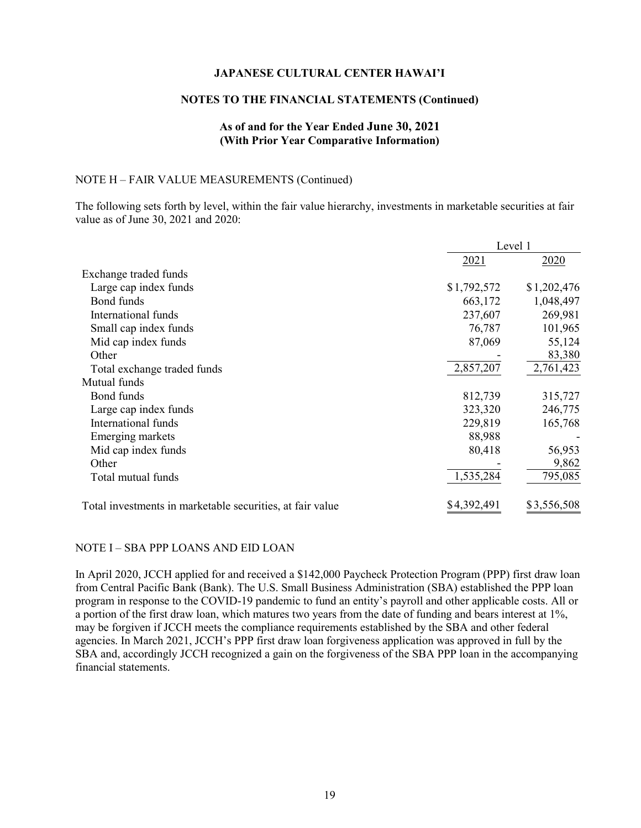#### **NOTES TO THE FINANCIAL STATEMENTS (Continued)**

# **As of and for the Year Ended June 30, 2021 (With Prior Year Comparative Information)**

#### NOTE H – FAIR VALUE MEASUREMENTS (Continued)

The following sets forth by level, within the fair value hierarchy, investments in marketable securities at fair value as of June 30, 2021 and 2020:

|                                                           |             | Level 1     |  |
|-----------------------------------------------------------|-------------|-------------|--|
|                                                           | 2021        | 2020        |  |
| Exchange traded funds                                     |             |             |  |
| Large cap index funds                                     | \$1,792,572 | \$1,202,476 |  |
| Bond funds                                                | 663,172     | 1,048,497   |  |
| International funds                                       | 237,607     | 269,981     |  |
| Small cap index funds                                     | 76,787      | 101,965     |  |
| Mid cap index funds                                       | 87,069      | 55,124      |  |
| Other                                                     |             | 83,380      |  |
| Total exchange traded funds                               | 2,857,207   | 2,761,423   |  |
| Mutual funds                                              |             |             |  |
| Bond funds                                                | 812,739     | 315,727     |  |
| Large cap index funds                                     | 323,320     | 246,775     |  |
| International funds                                       | 229,819     | 165,768     |  |
| Emerging markets                                          | 88,988      |             |  |
| Mid cap index funds                                       | 80,418      | 56,953      |  |
| Other                                                     |             | 9,862       |  |
| Total mutual funds                                        | 1,535,284   | 795,085     |  |
| Total investments in marketable securities, at fair value | \$4,392,491 | \$3,556,508 |  |

#### NOTE I – SBA PPP LOANS AND EID LOAN

In April 2020, JCCH applied for and received a \$142,000 Paycheck Protection Program (PPP) first draw loan from Central Pacific Bank (Bank). The U.S. Small Business Administration (SBA) established the PPP loan program in response to the COVID-19 pandemic to fund an entity's payroll and other applicable costs. All or a portion of the first draw loan, which matures two years from the date of funding and bears interest at 1%, may be forgiven if JCCH meets the compliance requirements established by the SBA and other federal agencies. In March 2021, JCCH's PPP first draw loan forgiveness application was approved in full by the SBA and, accordingly JCCH recognized a gain on the forgiveness of the SBA PPP loan in the accompanying financial statements.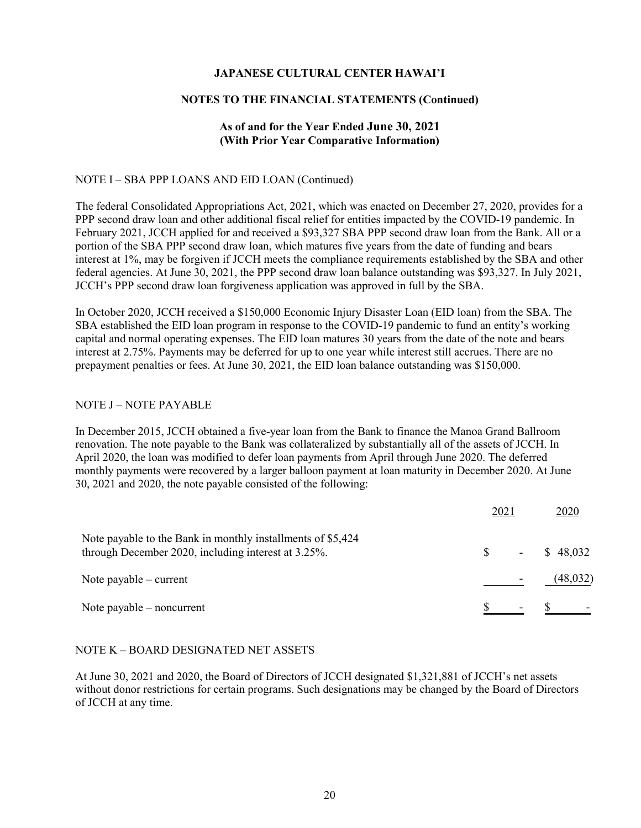#### **NOTES TO THE FINANCIAL STATEMENTS (Continued)**

# **As of and for the Year Ended June 30, 2021 (With Prior Year Comparative Information)**

#### NOTE I – SBA PPP LOANS AND EID LOAN (Continued)

The federal Consolidated Appropriations Act, 2021, which was enacted on December 27, 2020, provides for a PPP second draw loan and other additional fiscal relief for entities impacted by the COVID-19 pandemic. In February 2021, JCCH applied for and received a \$93,327 SBA PPP second draw loan from the Bank. All or a portion of the SBA PPP second draw loan, which matures five years from the date of funding and bears interest at 1%, may be forgiven if JCCH meets the compliance requirements established by the SBA and other federal agencies. At June 30, 2021, the PPP second draw loan balance outstanding was \$93,327. In July 2021, JCCH's PPP second draw loan forgiveness application was approved in full by the SBA.

In October 2020, JCCH received a \$150,000 Economic Injury Disaster Loan (EID loan) from the SBA. The SBA established the EID loan program in response to the COVID-19 pandemic to fund an entity's working capital and normal operating expenses. The EID loan matures 30 years from the date of the note and bears interest at 2.75%. Payments may be deferred for up to one year while interest still accrues. There are no prepayment penalties or fees. At June 30, 2021, the EID loan balance outstanding was \$150,000.

#### NOTE J – NOTE PAYABLE

In December 2015, JCCH obtained a five-year loan from the Bank to finance the Manoa Grand Ballroom renovation. The note payable to the Bank was collateralized by substantially all of the assets of JCCH. In April 2020, the loan was modified to defer loan payments from April through June 2020. The deferred monthly payments were recovered by a larger balloon payment at loan maturity in December 2020. At June 30, 2021 and 2020, the note payable consisted of the following:

|                                                                                                                    | 2021 | 2020            |
|--------------------------------------------------------------------------------------------------------------------|------|-----------------|
| Note payable to the Bank in monthly installments of \$5,424<br>through December 2020, including interest at 3.25%. |      | $-$ \$ 48,032   |
| Note payable $-$ current                                                                                           |      | (48, 032)       |
| Note payable $-$ noncurrent                                                                                        |      | $\mathcal{D}$ - |

#### NOTE K – BOARD DESIGNATED NET ASSETS

At June 30, 2021 and 2020, the Board of Directors of JCCH designated \$1,321,881 of JCCH's net assets without donor restrictions for certain programs. Such designations may be changed by the Board of Directors of JCCH at any time.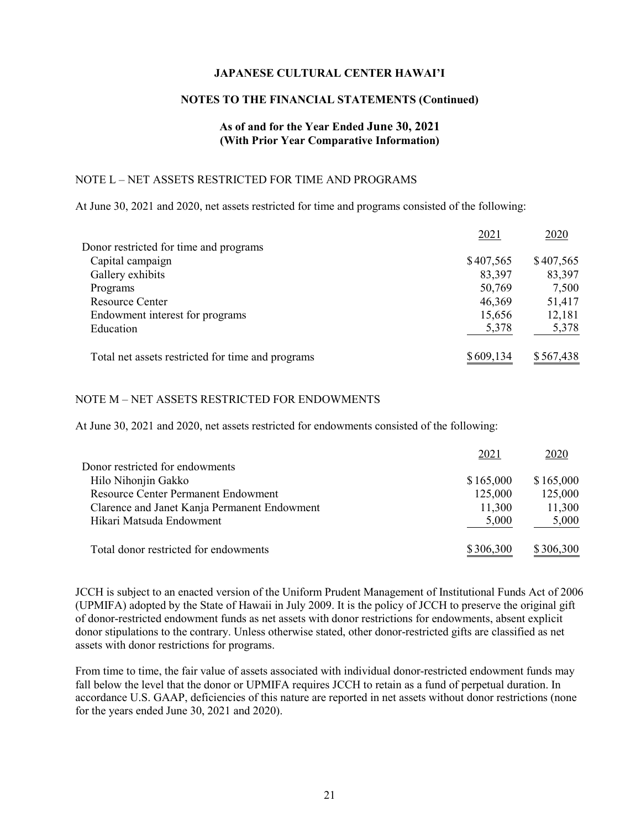#### **NOTES TO THE FINANCIAL STATEMENTS (Continued)**

# **As of and for the Year Ended June 30, 2021 (With Prior Year Comparative Information)**

#### NOTE L – NET ASSETS RESTRICTED FOR TIME AND PROGRAMS

At June 30, 2021 and 2020, net assets restricted for time and programs consisted of the following:

|                                                   | 2021      | 2020      |
|---------------------------------------------------|-----------|-----------|
| Donor restricted for time and programs            |           |           |
| Capital campaign                                  | \$407,565 | \$407,565 |
| Gallery exhibits                                  | 83,397    | 83,397    |
| Programs                                          | 50,769    | 7,500     |
| Resource Center                                   | 46,369    | 51,417    |
| Endowment interest for programs                   | 15,656    | 12,181    |
| Education                                         | 5,378     | 5,378     |
| Total net assets restricted for time and programs | \$609,134 | \$567,438 |

#### NOTE M – NET ASSETS RESTRICTED FOR ENDOWMENTS

At June 30, 2021 and 2020, net assets restricted for endowments consisted of the following:

|                                              | 2021      | 2020      |
|----------------------------------------------|-----------|-----------|
| Donor restricted for endowments              |           |           |
| Hilo Nihonjin Gakko                          | \$165,000 | \$165,000 |
| <b>Resource Center Permanent Endowment</b>   | 125,000   | 125,000   |
| Clarence and Janet Kanja Permanent Endowment | 11,300    | 11,300    |
| Hikari Matsuda Endowment                     | 5,000     | 5,000     |
| Total donor restricted for endowments        | \$306,300 | \$306,300 |

JCCH is subject to an enacted version of the Uniform Prudent Management of Institutional Funds Act of 2006 (UPMIFA) adopted by the State of Hawaii in July 2009. It is the policy of JCCH to preserve the original gift of donor-restricted endowment funds as net assets with donor restrictions for endowments, absent explicit donor stipulations to the contrary. Unless otherwise stated, other donor-restricted gifts are classified as net assets with donor restrictions for programs.

From time to time, the fair value of assets associated with individual donor-restricted endowment funds may fall below the level that the donor or UPMIFA requires JCCH to retain as a fund of perpetual duration. In accordance U.S. GAAP, deficiencies of this nature are reported in net assets without donor restrictions (none for the years ended June 30, 2021 and 2020).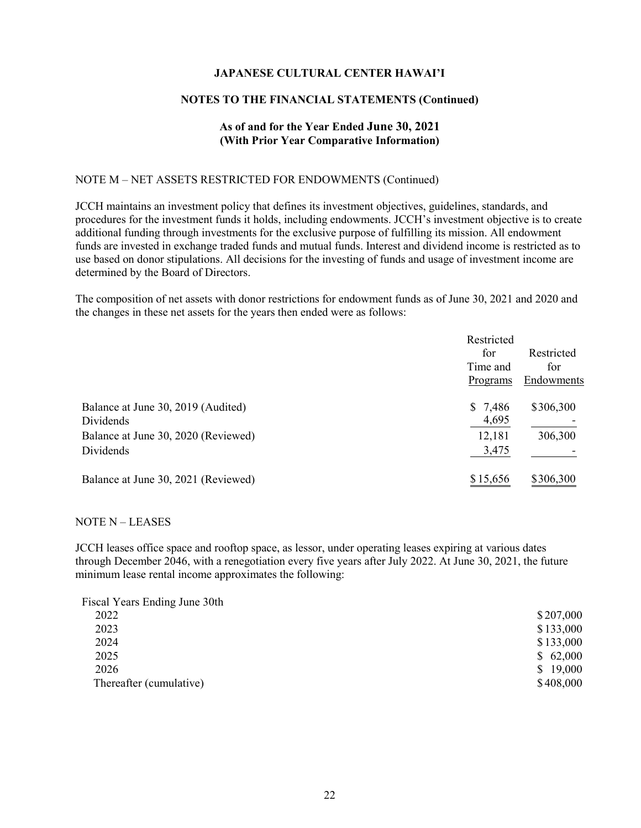#### **NOTES TO THE FINANCIAL STATEMENTS (Continued)**

# **As of and for the Year Ended June 30, 2021 (With Prior Year Comparative Information)**

#### NOTE M – NET ASSETS RESTRICTED FOR ENDOWMENTS (Continued)

JCCH maintains an investment policy that defines its investment objectives, guidelines, standards, and procedures for the investment funds it holds, including endowments. JCCH's investment objective is to create additional funding through investments for the exclusive purpose of fulfilling its mission. All endowment funds are invested in exchange traded funds and mutual funds. Interest and dividend income is restricted as to use based on donor stipulations. All decisions for the investing of funds and usage of investment income are determined by the Board of Directors.

The composition of net assets with donor restrictions for endowment funds as of June 30, 2021 and 2020 and the changes in these net assets for the years then ended were as follows:

|                                     | Restricted |            |
|-------------------------------------|------------|------------|
|                                     | for        | Restricted |
|                                     | Time and   | for        |
|                                     | Programs   | Endowments |
| Balance at June 30, 2019 (Audited)  | \$7,486    | \$306,300  |
| Dividends                           | 4,695      |            |
| Balance at June 30, 2020 (Reviewed) | 12,181     | 306,300    |
| Dividends                           | 3,475      |            |
| Balance at June 30, 2021 (Reviewed) | \$15,656   | \$306,300  |

#### NOTE N – LEASES

JCCH leases office space and rooftop space, as lessor, under operating leases expiring at various dates through December 2046, with a renegotiation every five years after July 2022. At June 30, 2021, the future minimum lease rental income approximates the following:

Fiscal Years Ending June 30th 2022 \$ 207,000 2023 \$ 133,000 2024 \$ 133,000 2025 \$ 62,000 2026 \$ 19,000 Thereafter (cumulative) \$408,000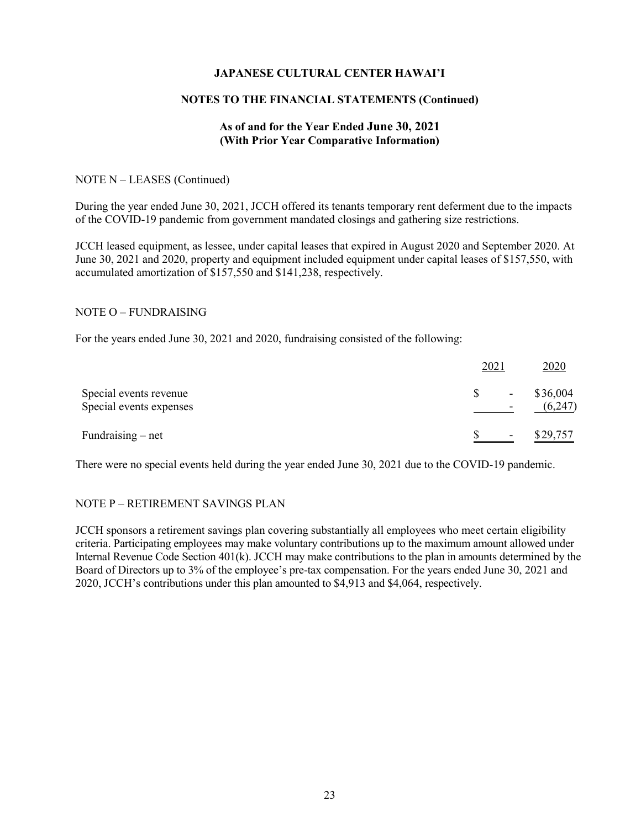#### **NOTES TO THE FINANCIAL STATEMENTS (Continued)**

# **As of and for the Year Ended June 30, 2021 (With Prior Year Comparative Information)**

#### NOTE N – LEASES (Continued)

During the year ended June 30, 2021, JCCH offered its tenants temporary rent deferment due to the impacts of the COVID-19 pandemic from government mandated closings and gathering size restrictions.

JCCH leased equipment, as lessee, under capital leases that expired in August 2020 and September 2020. At June 30, 2021 and 2020, property and equipment included equipment under capital leases of \$157,550, with accumulated amortization of \$157,550 and \$141,238, respectively.

#### NOTE O – FUNDRAISING

For the years ended June 30, 2021 and 2020, fundraising consisted of the following:

|                                                   | 2021 | 2020                                      |
|---------------------------------------------------|------|-------------------------------------------|
| Special events revenue<br>Special events expenses |      | $-$ \$36,004<br>(6,247)<br>$\blacksquare$ |
| Fundraising – net                                 |      | \$29,757<br>$\sim$                        |

There were no special events held during the year ended June 30, 2021 due to the COVID-19 pandemic.

#### NOTE P – RETIREMENT SAVINGS PLAN

JCCH sponsors a retirement savings plan covering substantially all employees who meet certain eligibility criteria. Participating employees may make voluntary contributions up to the maximum amount allowed under Internal Revenue Code Section 401(k). JCCH may make contributions to the plan in amounts determined by the Board of Directors up to 3% of the employee's pre-tax compensation. For the years ended June 30, 2021 and 2020, JCCH's contributions under this plan amounted to \$4,913 and \$4,064, respectively.